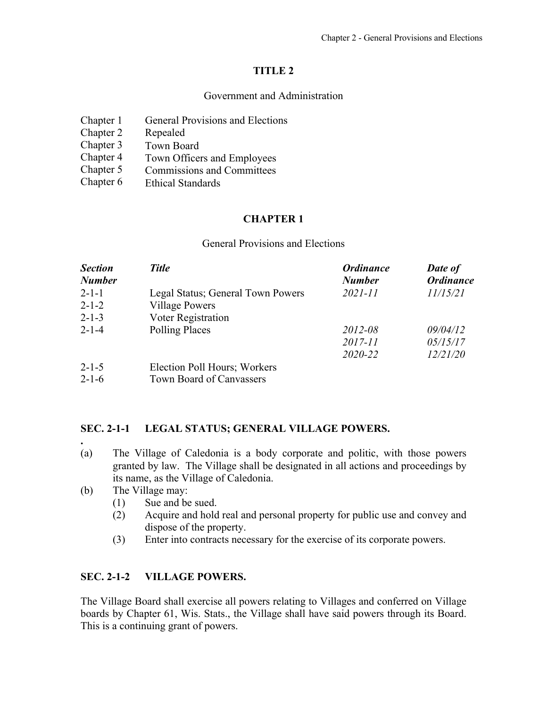# **TITLE 2**

### Government and Administration

| Chapter 1 | <b>General Provisions and Elections</b> |
|-----------|-----------------------------------------|
| Chapter 2 | Repealed                                |
| Chapter 3 | Town Board                              |
| Chapter 4 | Town Officers and Employees             |
| Chapter 5 | <b>Commissions and Committees</b>       |
| Chapter 6 | <b>Ethical Standards</b>                |

# **CHAPTER 1**

#### General Provisions and Elections

| <b>Section</b><br><b>Number</b> | <b>Title</b>                      | <b>Ordinance</b><br><b>Number</b> | Date of<br><b>Ordinance</b> |
|---------------------------------|-----------------------------------|-----------------------------------|-----------------------------|
| $2 - 1 - 1$                     | Legal Status; General Town Powers | $2021 - 11$                       | 11/15/21                    |
| $2 - 1 - 2$                     | <b>Village Powers</b>             |                                   |                             |
| $2 - 1 - 3$                     | Voter Registration                |                                   |                             |
| $2 - 1 - 4$                     | <b>Polling Places</b>             | 2012-08                           | 09/04/12                    |
|                                 |                                   | 2017-11                           | 05/15/17                    |
|                                 |                                   | 2020-22                           | 12/21/20                    |
| $2 - 1 - 5$                     | Election Poll Hours; Workers      |                                   |                             |
| $2 - 1 - 6$                     | Town Board of Canvassers          |                                   |                             |

### **SEC. 2-1-1 LEGAL STATUS; GENERAL VILLAGE POWERS.**

- (a) The Village of Caledonia is a body corporate and politic, with those powers granted by law. The Village shall be designated in all actions and proceedings by its name, as the Village of Caledonia.
- (b) The Village may:

**.** 

- (1) Sue and be sued.
- (2) Acquire and hold real and personal property for public use and convey and dispose of the property.
- (3) Enter into contracts necessary for the exercise of its corporate powers.

# **SEC. 2-1-2 VILLAGE POWERS.**

The Village Board shall exercise all powers relating to Villages and conferred on Village boards by Chapter 61, Wis. Stats., the Village shall have said powers through its Board. This is a continuing grant of powers.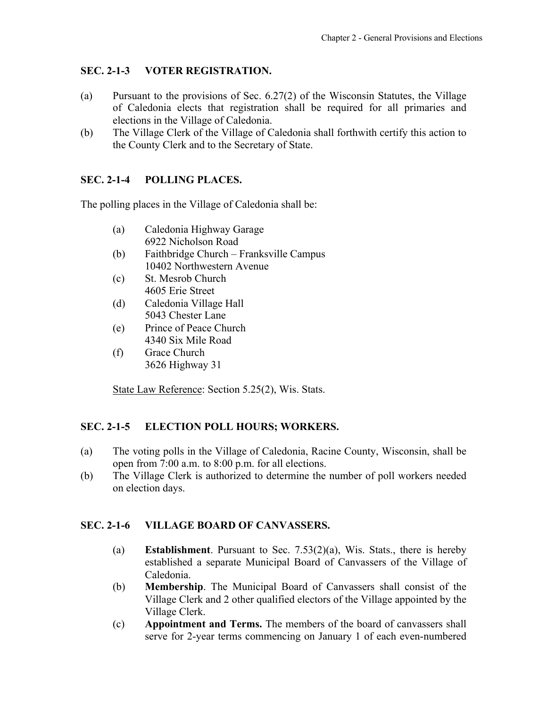## <span id="page-1-0"></span>**SEC. 2-1-3 VOTER REGISTRATION.**

- (a) Pursuant to the provisions of Sec. 6.27(2) of the Wisconsin Statutes, the Village of Caledonia elects that registration shall be required for all primaries and elections in the Village of Caledonia.
- (b) The Village Clerk of the Village of Caledonia shall forthwith certify this action to the County Clerk and to the Secretary of State.

### **SEC. 2-1-4 POLLING PLACES.**

The polling places in the Village of Caledonia shall be:

- (a) Caledonia Highway Garage 6922 Nicholson Road
- (b) Faithbridge Church Franksville Campus 10402 Northwestern Avenue
- (c) St. Mesrob Church 4605 Erie Street
- (d) Caledonia Village Hall 5043 Chester Lane
- (e) Prince of Peace Church 4340 Six Mile Road
- (f) Grace Church 3626 Highway 31

State Law Reference: Section 5.25(2), Wis. Stats.

### **SEC. 2-1-5 ELECTION POLL HOURS; WORKERS.**

- (a) The voting polls in the Village of Caledonia, Racine County, Wisconsin, shall be open from 7:00 a.m. to 8:00 p.m. for all elections.
- (b) The Village Clerk is authorized to determine the number of poll workers needed on election days.

### **SEC. 2-1-6 VILLAGE BOARD OF CANVASSERS.**

- (a) **Establishment**. Pursuant to Sec. 7.53(2)(a), Wis. Stats., there is hereby established a separate Municipal Board of Canvassers of the Village of Caledonia.
- (b) **Membership**. The Municipal Board of Canvassers shall consist of the Village Clerk and 2 other qualified electors of the Village appointed by the Village Clerk.
- (c) **Appointment and Terms.** The members of the board of canvassers shall serve for 2-year terms commencing on January 1 of each even-numbered